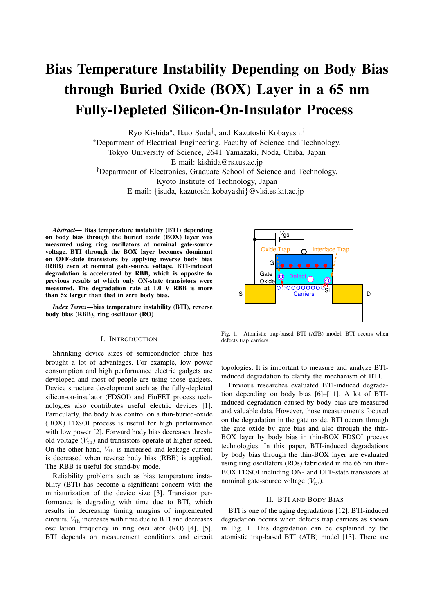# Bias Temperature Instability Depending on Body Bias through Buried Oxide (BOX) Layer in a 65 nm Fully-Depleted Silicon-On-Insulator Process

Ryo Kishida*∗* , Ikuo Suda*†* , and Kazutoshi Kobayashi*†*

*∗*Department of Electrical Engineering, Faculty of Science and Technology,

Tokyo University of Science, 2641 Yamazaki, Noda, Chiba, Japan

E-mail: kishida@rs.tus.ac.jp

*†*Department of Electronics, Graduate School of Science and Technology,

Kyoto Institute of Technology, Japan

E-mail: *{*isuda, kazutoshi.kobayashi*}*@vlsi.es.kit.ac.jp

*Abstract*— Bias temperature instability (BTI) depending on body bias through the buried oxide (BOX) layer was measured using ring oscillators at nominal gate-source voltage. BTI through the BOX layer becomes dominant on OFF-state transistors by applying reverse body bias (RBB) even at nominal gate-source voltage. BTI-induced degradation is accelerated by RBB, which is opposite to previous results at which only ON-state transistors were measured. The degradation rate at 1.0 V RBB is more than 5x larger than that in zero body bias.

*Index Terms*—bias temperature instability (BTI), reverse body bias (RBB), ring oscillator (RO)

# I. INTRODUCTION

Shrinking device sizes of semiconductor chips has brought a lot of advantages. For example, low power consumption and high performance electric gadgets are developed and most of people are using those gadgets. Device structure development such as the fully-depleted silicon-on-insulator (FDSOI) and FinFET process technologies also contributes useful electric devices [1]. Particularly, the body bias control on a thin-buried-oxide (BOX) FDSOI process is useful for high performance with low power [2]. Forward body bias decreases threshold voltage  $(V_{\text{th}})$  and transistors operate at higher speed. On the other hand,  $V_{\text{th}}$  is increased and leakage current is decreased when reverse body bias (RBB) is applied. The RBB is useful for stand-by mode.

Reliability problems such as bias temperature instability (BTI) has become a significant concern with the miniaturization of the device size [3]. Transistor performance is degrading with time due to BTI, which results in decreasing timing margins of implemented circuits. *V*th increases with time due to BTI and decreases oscillation frequency in ring oscillator (RO) [4], [5]. BTI depends on measurement conditions and circuit



Fig. 1. Atomistic trap-based BTI (ATB) model. BTI occurs when defects trap carriers.

topologies. It is important to measure and analyze BTIinduced degradation to clarify the mechanism of BTI.

Previous researches evaluated BTI-induced degradation depending on body bias [6]–[11]. A lot of BTIinduced degradation caused by body bias are measured and valuable data. However, those measurements focused on the degradation in the gate oxide. BTI occurs through the gate oxide by gate bias and also through the thin-BOX layer by body bias in thin-BOX FDSOI process technologies. In this paper, BTI-induced degradations by body bias through the thin-BOX layer are evaluated using ring oscillators (ROs) fabricated in the 65 nm thin-BOX FDSOI including ON- and OFF-state transistors at nominal gate-source voltage  $(V_{gs})$ .

### II. BTI AND BODY BIAS

BTI is one of the aging degradations [12]. BTI-induced degradation occurs when defects trap carriers as shown in Fig. 1. This degradation can be explained by the atomistic trap-based BTI (ATB) model [13]. There are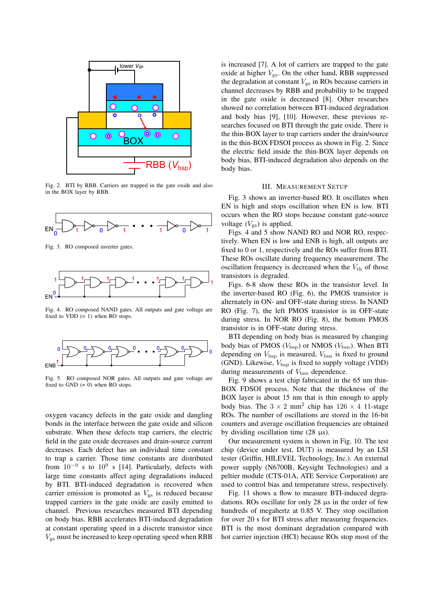

Fig. 2. BTI by RBB. Carriers are trapped in the gate oxide and also in the BOX layer by RBB.



Fig. 3. RO composed inverter gates.



Fig. 4. RO composed NAND gates. All outputs and gate voltage are fixed to VDD  $(= 1)$  when RO stops.



Fig. 5. RO composed NOR gates. All outputs and gate voltage are fixed to GND  $(= 0)$  when RO stops.

oxygen vacancy defects in the gate oxide and dangling bonds in the interface between the gate oxide and silicon substrate. When these defects trap carriers, the electric field in the gate oxide decreases and drain-source current decreases. Each defect has an individual time constant to trap a carrier. Those time constants are distributed from 10*−*<sup>9</sup> s to 10<sup>9</sup> s [14]. Particularly, defects with large time constants affect aging degradations induced by BTI. BTI-induced degradation is recovered when carrier emission is promoted as  $V_{gs}$  is reduced because trapped carriers in the gate oxide are easily emitted to channel. Previous researches measured BTI depending on body bias. RBB accelerates BTI-induced degradation at constant operating speed in a discrete transistor since *V*gs must be increased to keep operating speed when RBB

is increased [7]. A lot of carriers are trapped to the gate oxide at higher  $V_{\text{gs}}$ . On the other hand, RBB suppressed the degradation at constant  $V_{\rm gs}$  in ROs because carriers in channel decreases by RBB and probability to be trapped in the gate oxide is decreased [8]. Other researches showed no correlation between BTI-induced degradation and body bias [9], [10]. However, these previous researches focused on BTI through the gate oxide. There is the thin-BOX layer to trap carriers under the drain/source in the thin-BOX FDSOI process as shown in Fig. 2. Since the electric field inside the thin-BOX layer depends on body bias, BTI-induced degradation also depends on the body bias.

### III. MEASUREMENT SETUP

Fig. 3 shows an inverter-based RO. It oscillates when EN is high and stops oscillation when EN is low. BTI occurs when the RO stops because constant gate-source voltage  $(V_{gs})$  is applied.

Figs. 4 and 5 show NAND RO and NOR RO, respectively. When EN is low and ENB is high, all outputs are fixed to 0 or 1, respectively and the ROs suffer from BTI. These ROs oscillate during frequency measurement. The oscillation frequency is decreased when the  $V_{th}$  of those transistors is degraded.

Figs. 6-8 show these ROs in the transistor level. In the inverter-based RO (Fig. 6), the PMOS transistor is alternately in ON- and OFF-state during stress. In NAND RO (Fig. 7), the left PMOS transistor is in OFF-state during stress. In NOR RO (Fig. 8), the bottom PMOS transistor is in OFF-state during stress.

BTI depending on body bias is measured by changing body bias of PMOS ( $V_{\text{bsp}}$ ) or NMOS ( $V_{\text{bsn}}$ ). When BTI depending on  $V_{\text{bsp}}$  is measured,  $V_{\text{bsn}}$  is fixed to ground (GND). Likewise, *V*bsp is fixed to supply voltage (VDD) during measurements of  $V_{\text{bsn}}$  dependence.

Fig. 9 shows a test chip fabricated in the 65 nm thin-BOX FDSOI process. Note that the thickness of the BOX layer is about 15 nm that is thin enough to apply body bias. The  $3 \times 2$  mm<sup>2</sup> chip has  $126 \times 4$  11-stage ROs. The number of oscillations are stored in the 16-bit counters and average oscillation frequencies are obtained by dividing oscillation time  $(28 \mu s)$ .

Our measurement system is shown in Fig. 10. The test chip (device under test, DUT) is measured by an LSI tester (Griffin, HILEVEL Technology, Inc.). An external power supply (N6700B, Keysight Technologies) and a peltier module (CTS-01A, ATE Service Corporation) are used to control bias and temperature stress, respectively.

Fig. 11 shows a flow to measure BTI-induced degradations. ROs oscillate for only 28 µs in the order of few hundreds of megahertz at 0.85 V. They stop oscillation for over 20 s for BTI stress after measuring frequencies. BTI is the most dominant degradation compared with hot carrier injection (HCI) because ROs stop most of the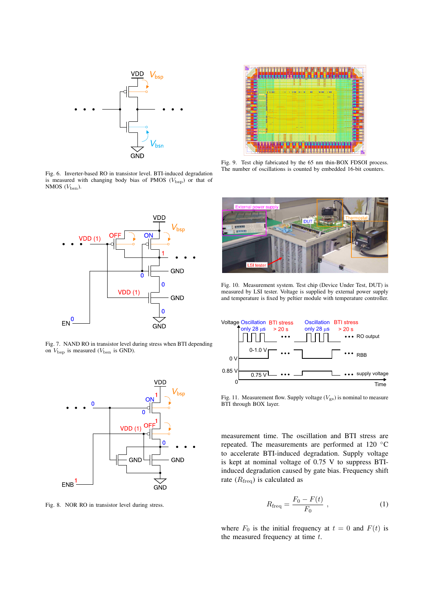

Fig. 6. Inverter-based RO in transistor level. BTI-induced degradation is measured with changing body bias of PMOS ( $V_{\text{bsp}}$ ) or that of NMOS  $(V_{\rm bsn})$ .



Fig. 7. NAND RO in transistor level during stress when BTI depending on  $V_{\text{bsp}}$  is measured ( $V_{\text{bsn}}$  is GND).



Fig. 8. NOR RO in transistor level during stress.



Fig. 9. Test chip fabricated by the 65 nm thin-BOX FDSOI process. The number of oscillations is counted by embedded 16-bit counters.



Fig. 10. Measurement system. Test chip (Device Under Test, DUT) is measured by LSI tester. Voltage is supplied by external power supply and temperature is fixed by peltier module with temperature controller.



Fig. 11. Measurement flow. Supply voltage  $(V_{\text{gs}})$  is nominal to measure BTI through BOX layer.

measurement time. The oscillation and BTI stress are repeated. The measurements are performed at 120 *◦*C to accelerate BTI-induced degradation. Supply voltage is kept at nominal voltage of 0.75 V to suppress BTIinduced degradation caused by gate bias. Frequency shift rate (*R*freq) is calculated as

$$
R_{\text{freq}} = \frac{F_0 - F(t)}{F_0} \,, \tag{1}
$$

where  $F_0$  is the initial frequency at  $t = 0$  and  $F(t)$  is the measured frequency at time *t*.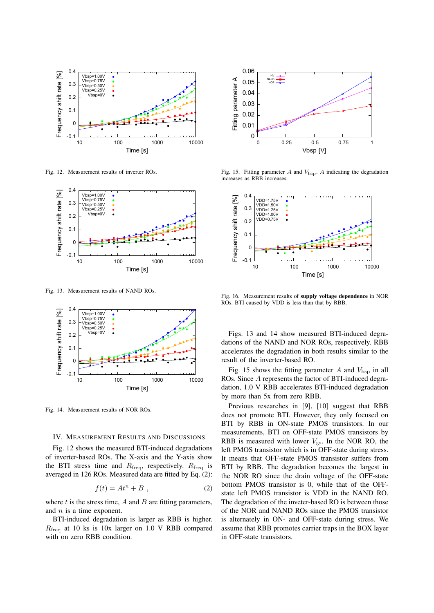

Fig. 12. Measurement results of inverter ROs.



Fig. 13. Measurement results of NAND ROs.



Fig. 14. Measurement results of NOR ROs.

# IV. MEASUREMENT RESULTS AND DISCUSSIONS

Fig. 12 shows the measured BTI-induced degradations of inverter-based ROs. The X-axis and the Y-axis show the BTI stress time and  $R_{\text{freq}}$ , respectively.  $R_{\text{freq}}$  is averaged in 126 ROs. Measured data are fitted by Eq. (2):

$$
f(t) = At^n + B , \t\t(2)
$$

where *t* is the stress time, *A* and *B* are fitting parameters, and *n* is a time exponent.

BTI-induced degradation is larger as RBB is higher. *R*<sub>freq</sub> at 10 ks is 10x larger on 1.0 V RBB compared



Fig. 15. Fitting parameter  $A$  and  $V_{\text{bsp}}$ .  $A$  indicating the degradation increases as RBB increases.



Fig. 16. Measurement results of supply voltage dependence in NOR ROs. BTI caused by VDD is less than that by RBB.

Figs. 13 and 14 show measured BTI-induced degradations of the NAND and NOR ROs, respectively. RBB accelerates the degradation in both results similar to the result of the inverter-based RO.

Fig. 15 shows the fitting parameter  $A$  and  $V_{\text{bsp}}$  in all ROs. Since *A* represents the factor of BTI-induced degradation, 1.0 V RBB accelerates BTI-induced degradation by more than 5x from zero RBB.

Previous researches in [9], [10] suggest that RBB does not promote BTI. However, they only focused on BTI by RBB in ON-state PMOS transistors. In our measurements, BTI on OFF-state PMOS transistors by RBB is measured with lower  $V_{\text{gs}}$ . In the NOR RO, the left PMOS transistor which is in OFF-state during stress. It means that OFF-state PMOS transistor suffers from BTI by RBB. The degradation becomes the largest in the NOR RO since the drain voltage of the OFF-state bottom PMOS transistor is 0, while that of the OFFstate left PMOS transistor is VDD in the NAND RO. The degradation of the inveter-based RO is between those of the NOR and NAND ROs since the PMOS transistor is alternately in ON- and OFF-state during stress. We assume that RBB promotes carrier traps in the BOX layer in OFF-state transistors.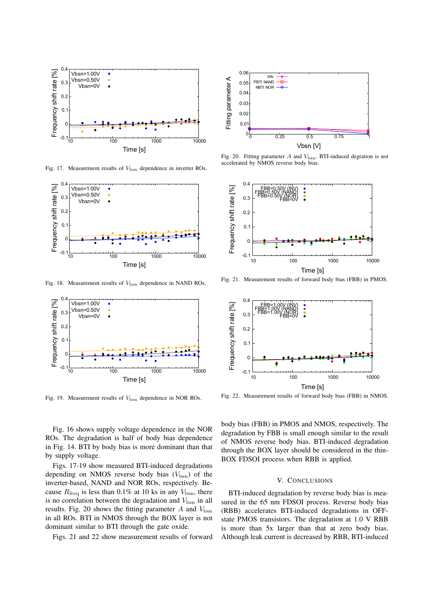

Fig. 17. Measurement results of  $V_{\text{bsn}}$  dependence in inverter ROs.



Fig. 18. Measurement results of  $V_{\text{bsn}}$  dependence in NAND ROs.



Fig. 19. Measurement results of  $V_{\text{bsn}}$  dependence in NOR ROs.

Fig. 16 shows supply voltage dependence in the NOR ROs. The degradation is half of body bias dependence in Fig. 14. BTI by body bias is more dominant than that by supply voltage.

Figs. 17-19 show measured BTI-induced degradations depending on NMOS reverse body bias  $(V_{\rm bsn})$  of the inverter-based, NAND and NOR ROs, respectively. Because  $R_{\text{freq}}$  is less than 0.1% at 10 ks in any  $V_{\text{bsn}}$ , there is no correlation between the degradation and  $V_{\text{bsn}}$  in all results. Fig. 20 shows the fitting parameter  $A$  and  $V_{bsn}$ in all ROs. BTI in NMOS through the BOX layer is not dominant similar to BTI through the gate oxide.

Figs. 21 and 22 show measurement results of forward



Fig. 20. Fitting parameter *A* and  $V_{bsn}$ . BTI-induced degration is not accelerated by NMOS reverse body bias.



Fig. 21. Measurement results of forward body bias (FBB) in PMOS.



Fig. 22. Measurement results of forward body bias (FBB) in NMOS.

body bias (FBB) in PMOS and NMOS, respectively. The degradation by FBB is small enough similar to the result of NMOS reverse body bias. BTI-induced degradation through the BOX layer should be considered in the thin-BOX FDSOI process when RBB is applied.

# V. CONCLUSIONS

BTI-induced degradation by reverse body bias is measured in the 65 nm FDSOI process. Reverse body bias (RBB) accelerates BTI-induced degradations in OFFstate PMOS transistors. The degradation at 1.0 V RBB is more than 5x larger than that at zero body bias. Although leak current is decreased by RBB, BTI-induced